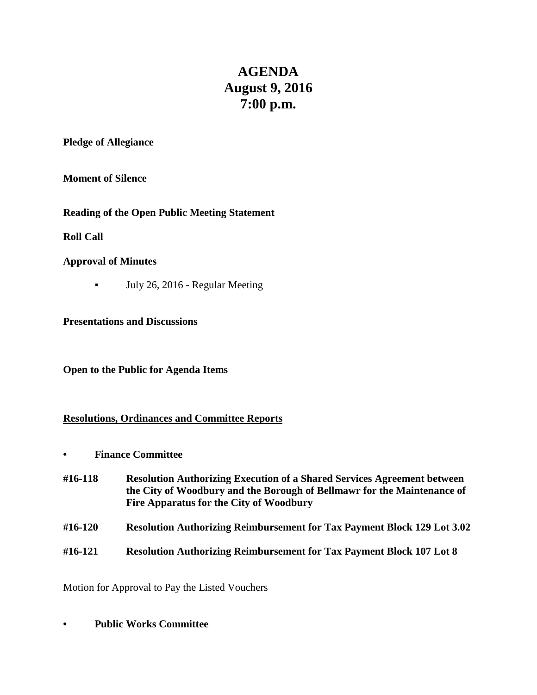# **AGENDA August 9, 2016 7:00 p.m.**

**Pledge of Allegiance**

**Moment of Silence**

**Reading of the Open Public Meeting Statement**

**Roll Call**

## **Approval of Minutes**

▪ July 26, 2016 - Regular Meeting

**Presentations and Discussions**

**Open to the Public for Agenda Items**

#### **Resolutions, Ordinances and Committee Reports**

**• Finance Committee**

| #16-118 | <b>Resolution Authorizing Execution of a Shared Services Agreement between</b><br>the City of Woodbury and the Borough of Bellmawr for the Maintenance of<br><b>Fire Apparatus for the City of Woodbury</b> |
|---------|-------------------------------------------------------------------------------------------------------------------------------------------------------------------------------------------------------------|
| #16-120 | <b>Resolution Authorizing Reimbursement for Tax Payment Block 129 Lot 3.02</b>                                                                                                                              |

**#16-121 Resolution Authorizing Reimbursement for Tax Payment Block 107 Lot 8**

Motion for Approval to Pay the Listed Vouchers

**• Public Works Committee**